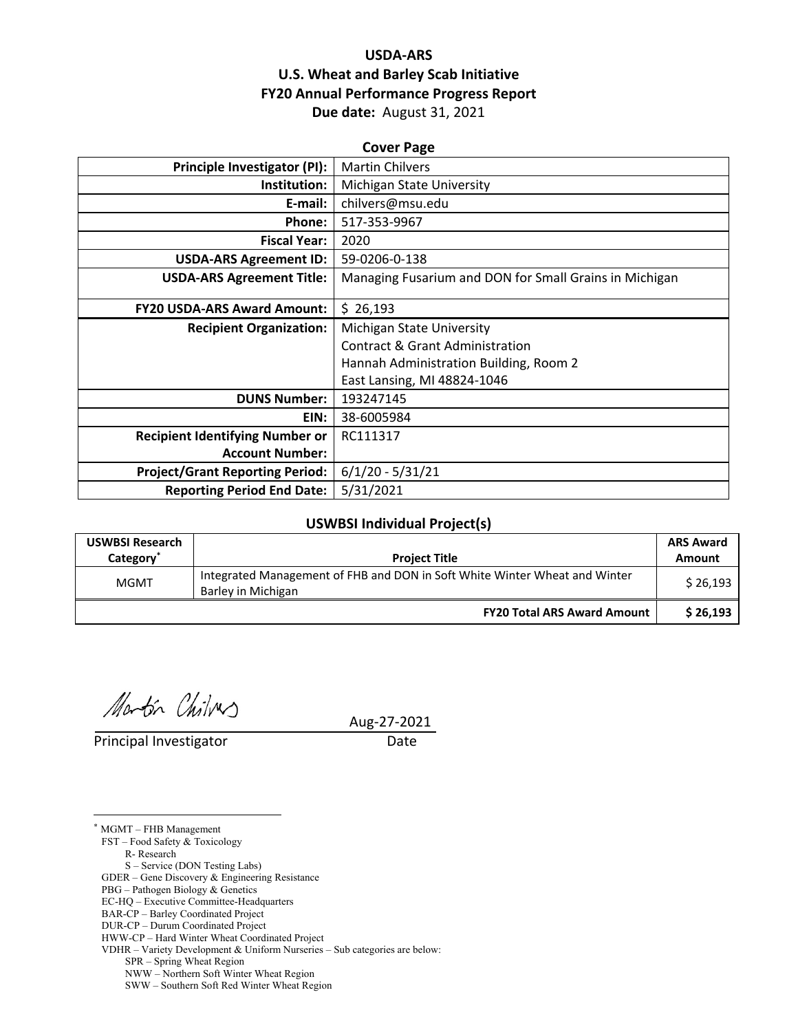## **USDA‐ARS U.S. Wheat and Barley Scab Initiative FY20 Annual Performance Progress Report Due date:** August 31, 2021

| <b>Cover Page</b>                      |                                                        |  |  |  |
|----------------------------------------|--------------------------------------------------------|--|--|--|
| Principle Investigator (PI):           | <b>Martin Chilvers</b>                                 |  |  |  |
| Institution:                           | Michigan State University                              |  |  |  |
| E-mail:                                | chilvers@msu.edu                                       |  |  |  |
| Phone:                                 | 517-353-9967                                           |  |  |  |
| <b>Fiscal Year:</b>                    | 2020                                                   |  |  |  |
| <b>USDA-ARS Agreement ID:</b>          | 59-0206-0-138                                          |  |  |  |
| <b>USDA-ARS Agreement Title:</b>       | Managing Fusarium and DON for Small Grains in Michigan |  |  |  |
|                                        |                                                        |  |  |  |
| <b>FY20 USDA-ARS Award Amount:</b>     | \$26,193                                               |  |  |  |
| <b>Recipient Organization:</b>         | Michigan State University                              |  |  |  |
|                                        | <b>Contract &amp; Grant Administration</b>             |  |  |  |
|                                        | Hannah Administration Building, Room 2                 |  |  |  |
|                                        | East Lansing, MI 48824-1046                            |  |  |  |
| <b>DUNS Number:</b>                    | 193247145                                              |  |  |  |
| EIN:                                   | 38-6005984                                             |  |  |  |
| <b>Recipient Identifying Number or</b> | RC111317                                               |  |  |  |
| <b>Account Number:</b>                 |                                                        |  |  |  |
| <b>Project/Grant Reporting Period:</b> | $6/1/20 - 5/31/21$                                     |  |  |  |
| <b>Reporting Period End Date:</b>      | 5/31/2021                                              |  |  |  |

#### **USWBSI Individual Project(s)**

| <b>USWBSI Research</b><br>Category <sup>*</sup> | <b>Project Title</b>                                                                             | <b>ARS Award</b><br>Amount |
|-------------------------------------------------|--------------------------------------------------------------------------------------------------|----------------------------|
| <b>MGMT</b>                                     | Integrated Management of FHB and DON in Soft White Winter Wheat and Winter<br>Barley in Michigan | \$26,193                   |
|                                                 | <b>FY20 Total ARS Award Amount</b>                                                               | \$26,193                   |

Martin Chilous

Principal Investigator Date

 $\overline{a}$ 

Aug‐27‐2021

\* MGMT – FHB Management FST – Food Safety & Toxicology R- Research S – Service (DON Testing Labs) GDER – Gene Discovery & Engineering Resistance PBG – Pathogen Biology & Genetics EC-HQ – Executive Committee-Headquarters BAR-CP – Barley Coordinated Project

DUR-CP – Durum Coordinated Project

HWW-CP – Hard Winter Wheat Coordinated Project

VDHR – Variety Development & Uniform Nurseries – Sub categories are below:

SPR – Spring Wheat Region

NWW – Northern Soft Winter Wheat Region

SWW – Southern Soft Red Winter Wheat Region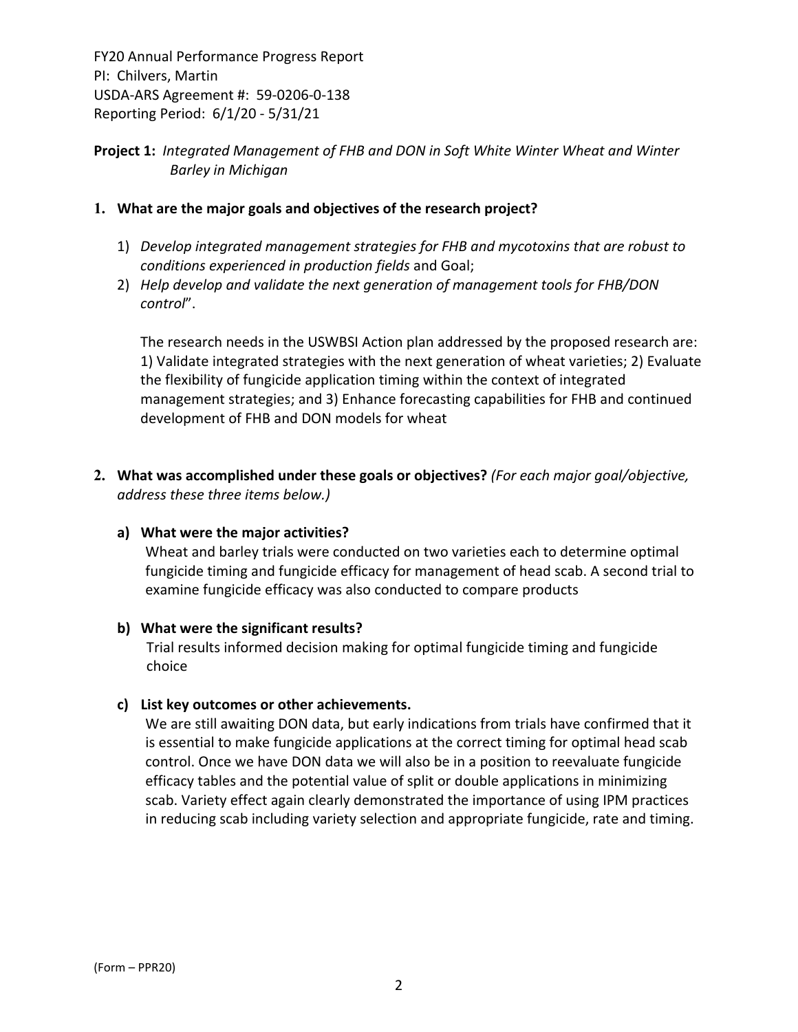## **Project 1:** *Integrated Management of FHB and DON in Soft White Winter Wheat and Winter Barley in Michigan*

### **1. What are the major goals and objectives of the research project?**

- 1) *Develop integrated management strategies for FHB and mycotoxins that are robust to conditions experienced in production fields* and Goal;
- 2) *Help develop and validate the next generation of management tools for FHB/DON control*".

The research needs in the USWBSI Action plan addressed by the proposed research are: 1) Validate integrated strategies with the next generation of wheat varieties; 2) Evaluate the flexibility of fungicide application timing within the context of integrated management strategies; and 3) Enhance forecasting capabilities for FHB and continued development of FHB and DON models for wheat

**2. What was accomplished under these goals or objectives?** *(For each major goal/objective, address these three items below.)*

#### **a) What were the major activities?**

Wheat and barley trials were conducted on two varieties each to determine optimal fungicide timing and fungicide efficacy for management of head scab. A second trial to examine fungicide efficacy was also conducted to compare products

#### **b) What were the significant results?**

Trial results informed decision making for optimal fungicide timing and fungicide choice

#### **c) List key outcomes or other achievements.**

We are still awaiting DON data, but early indications from trials have confirmed that it is essential to make fungicide applications at the correct timing for optimal head scab control. Once we have DON data we will also be in a position to reevaluate fungicide efficacy tables and the potential value of split or double applications in minimizing scab. Variety effect again clearly demonstrated the importance of using IPM practices in reducing scab including variety selection and appropriate fungicide, rate and timing.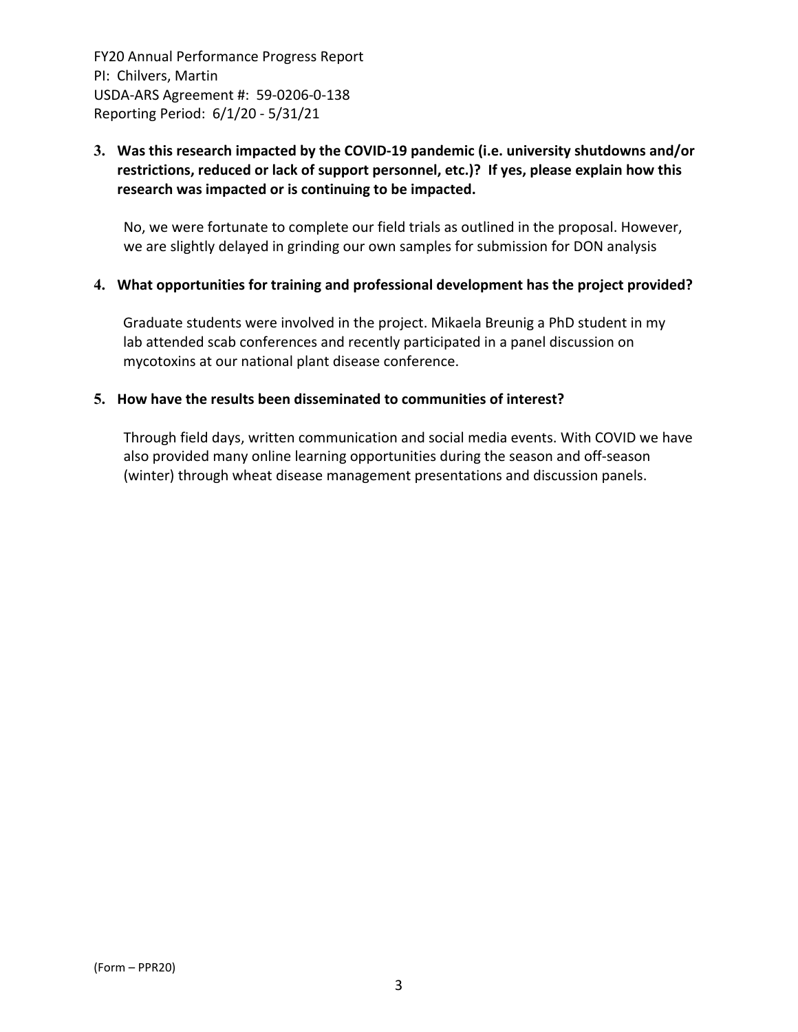## **3. Was this research impacted by the COVID‐19 pandemic (i.e. university shutdowns and/or restrictions, reduced or lack of support personnel, etc.)? If yes, please explain how this research was impacted or is continuing to be impacted.**

No, we were fortunate to complete our field trials as outlined in the proposal. However, we are slightly delayed in grinding our own samples for submission for DON analysis

#### **4. What opportunities for training and professional development has the project provided?**

Graduate students were involved in the project. Mikaela Breunig a PhD student in my lab attended scab conferences and recently participated in a panel discussion on mycotoxins at our national plant disease conference.

#### **5. How have the results been disseminated to communities of interest?**

Through field days, written communication and social media events. With COVID we have also provided many online learning opportunities during the season and off‐season (winter) through wheat disease management presentations and discussion panels.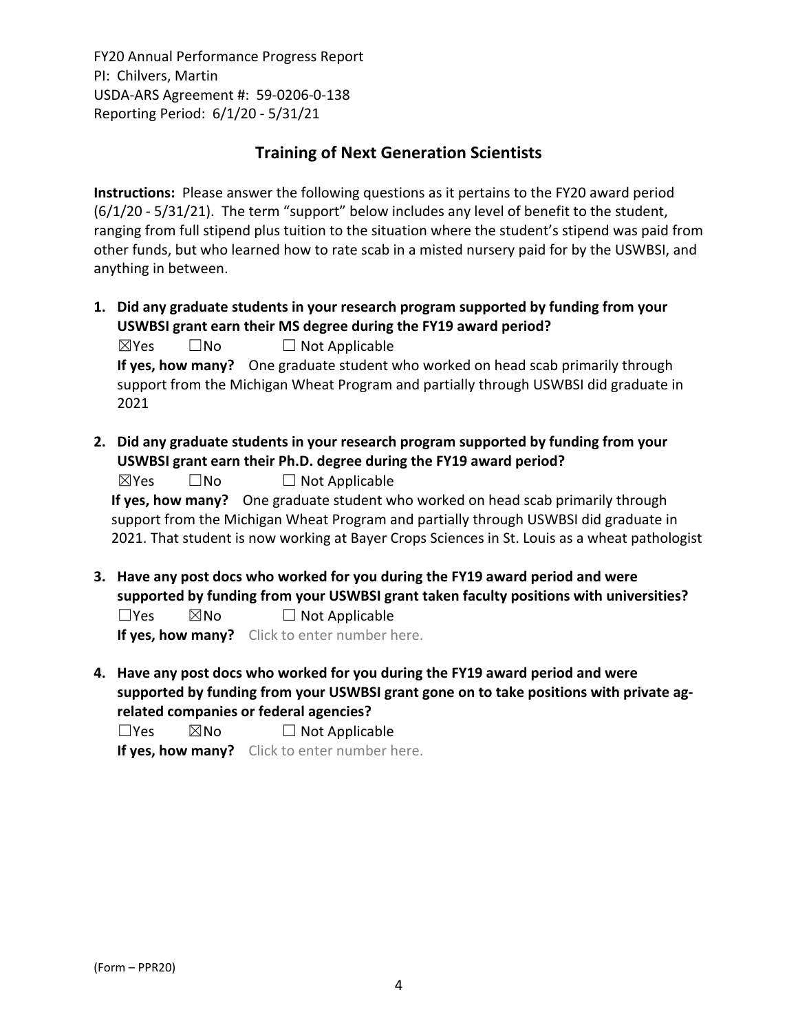## **Training of Next Generation Scientists**

**Instructions:** Please answer the following questions as it pertains to the FY20 award period (6/1/20 ‐ 5/31/21). The term "support" below includes any level of benefit to the student, ranging from full stipend plus tuition to the situation where the student's stipend was paid from other funds, but who learned how to rate scab in a misted nursery paid for by the USWBSI, and anything in between.

- **1. Did any graduate students in your research program supported by funding from your USWBSI grant earn their MS degree during the FY19 award period?**  $\boxtimes$ Yes  $\Box$  No  $\Box$  Not Applicable **If yes, how many?** One graduate student who worked on head scab primarily through support from the Michigan Wheat Program and partially through USWBSI did graduate in 2021
- **2. Did any graduate students in your research program supported by funding from your USWBSI grant earn their Ph.D. degree during the FY19 award period?**

**If yes, how many?** One graduate student who worked on head scab primarily through support from the Michigan Wheat Program and partially through USWBSI did graduate in 2021. That student is now working at Bayer Crops Sciences in St. Louis as a wheat pathologist

- **3. Have any post docs who worked for you during the FY19 award period and were supported by funding from your USWBSI grant taken faculty positions with universities?**  $\square$ Yes  $\square$ No  $\square$  Not Applicable **If yes, how many?** Click to enter number here.
- **4. Have any post docs who worked for you during the FY19 award period and were supported by funding from your USWBSI grant gone on to take positions with private ag‐ related companies or federal agencies?**

 $\square$ Yes  $\square$ No  $\square$  Not Applicable

**If yes, how many?** Click to enter number here.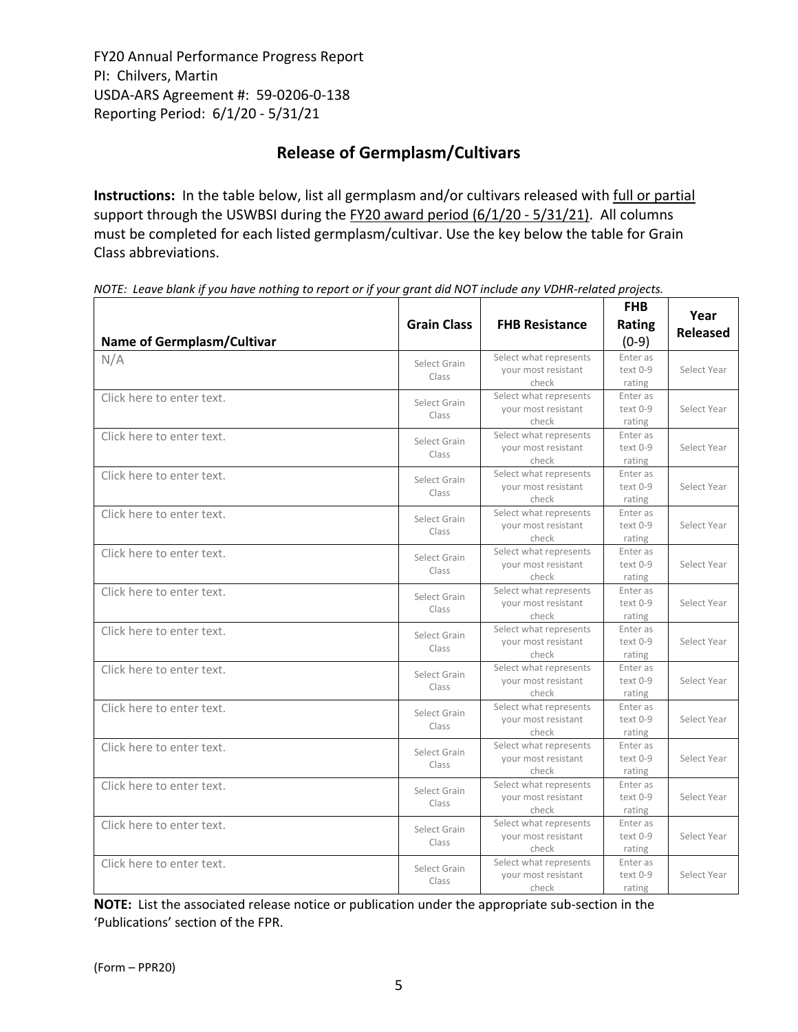# **Release of Germplasm/Cultivars**

**Instructions:** In the table below, list all germplasm and/or cultivars released with full or partial support through the USWBSI during the FY20 award period (6/1/20 - 5/31/21). All columns must be completed for each listed germplasm/cultivar. Use the key below the table for Grain Class abbreviations. 

| Name of Germplasm/Cultivar | <b>Grain Class</b>    | <b>FHB Resistance</b>                                  | <b>FHB</b><br>Rating<br>$(0-9)$  | Year<br><b>Released</b> |
|----------------------------|-----------------------|--------------------------------------------------------|----------------------------------|-------------------------|
| N/A                        | Select Grain<br>Class | Select what represents<br>your most resistant<br>check | Enter as<br>text 0-9<br>rating   | Select Year             |
| Click here to enter text.  | Select Grain<br>Class | Select what represents<br>your most resistant<br>check | Enter as<br>text 0-9<br>rating   | Select Year             |
| Click here to enter text.  | Select Grain<br>Class | Select what represents<br>your most resistant<br>check | Enter as<br>text 0-9<br>rating   | Select Year             |
| Click here to enter text.  | Select Grain<br>Class | Select what represents<br>your most resistant<br>check | Enter as<br>$text 0-9$<br>rating | Select Year             |
| Click here to enter text.  | Select Grain<br>Class | Select what represents<br>your most resistant<br>check | Enter as<br>text 0-9<br>rating   | Select Year             |
| Click here to enter text.  | Select Grain<br>Class | Select what represents<br>your most resistant<br>check | Enter as<br>text 0-9<br>rating   | Select Year             |
| Click here to enter text.  | Select Grain<br>Class | Select what represents<br>your most resistant<br>check | Enter as<br>text 0-9<br>rating   | Select Year             |
| Click here to enter text.  | Select Grain<br>Class | Select what represents<br>your most resistant<br>check | Enter as<br>text 0-9<br>rating   | Select Year             |
| Click here to enter text.  | Select Grain<br>Class | Select what represents<br>your most resistant<br>check | Enter as<br>text 0-9<br>rating   | Select Year             |
| Click here to enter text.  | Select Grain<br>Class | Select what represents<br>your most resistant<br>check | Enter as<br>text 0-9<br>rating   | Select Year             |
| Click here to enter text.  | Select Grain<br>Class | Select what represents<br>your most resistant<br>check | Enter as<br>$text 0-9$<br>rating | Select Year             |
| Click here to enter text.  | Select Grain<br>Class | Select what represents<br>your most resistant<br>check | Enter as<br>text 0-9<br>rating   | Select Year             |
| Click here to enter text.  | Select Grain<br>Class | Select what represents<br>your most resistant<br>check | Enter as<br>text 0-9<br>rating   | Select Year             |
| Click here to enter text.  | Select Grain<br>Class | Select what represents<br>your most resistant<br>check | Enter as<br>text 0-9<br>rating   | Select Year             |

NOTE: Leave blank if you have nothing to report or if your grant did NOT include any VDHR-related projects.

**NOTE:** List the associated release notice or publication under the appropriate sub-section in the 'Publications' section of the FPR.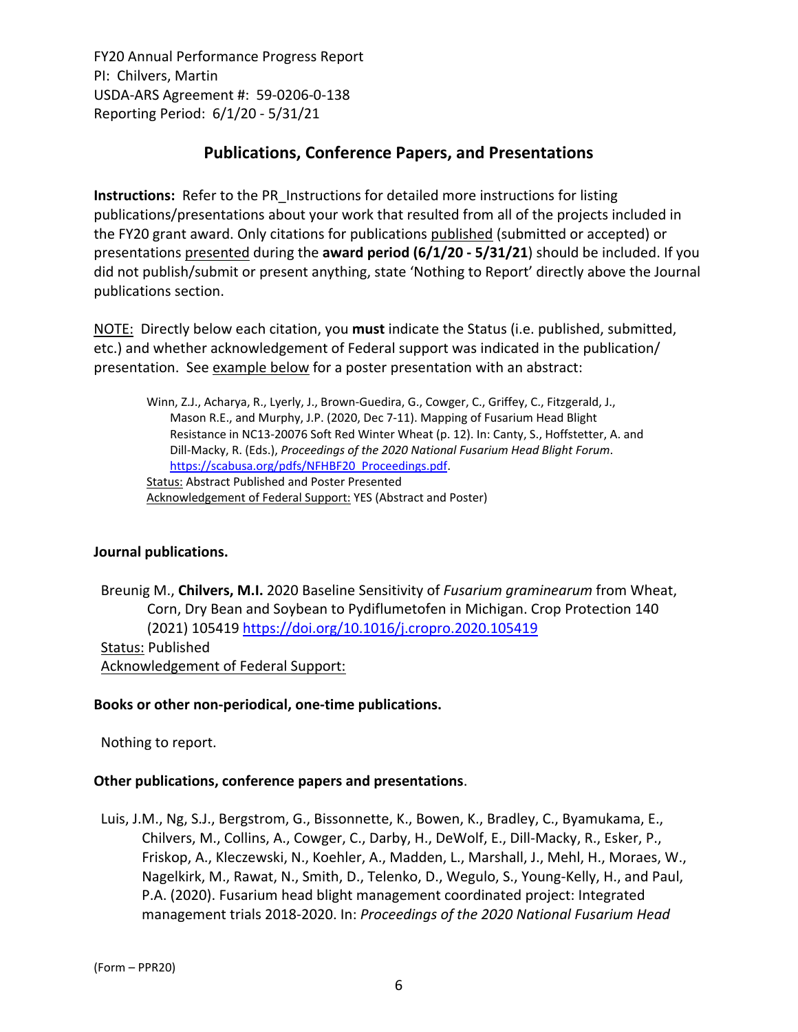## **Publications, Conference Papers, and Presentations**

**Instructions:** Refer to the PR\_Instructions for detailed more instructions for listing publications/presentations about your work that resulted from all of the projects included in the FY20 grant award. Only citations for publications published (submitted or accepted) or presentations presented during the **award period (6/1/20 ‐ 5/31/21**) should be included. If you did not publish/submit or present anything, state 'Nothing to Report' directly above the Journal publications section.

NOTE: Directly below each citation, you **must** indicate the Status (i.e. published, submitted, etc.) and whether acknowledgement of Federal support was indicated in the publication/ presentation. See example below for a poster presentation with an abstract:

Winn, Z.J., Acharya, R., Lyerly, J., Brown‐Guedira, G., Cowger, C., Griffey, C., Fitzgerald, J., Mason R.E., and Murphy, J.P. (2020, Dec 7‐11). Mapping of Fusarium Head Blight Resistance in NC13‐20076 Soft Red Winter Wheat (p. 12). In: Canty, S., Hoffstetter, A. and Dill‐Macky, R. (Eds.), *Proceedings of the 2020 National Fusarium Head Blight Forum*. https://scabusa.org/pdfs/NFHBF20\_Proceedings.pdf. Status: Abstract Published and Poster Presented Acknowledgement of Federal Support: YES (Abstract and Poster)

## **Journal publications.**

Breunig M., **Chilvers, M.I.** 2020 Baseline Sensitivity of *Fusarium graminearum* from Wheat, Corn, Dry Bean and Soybean to Pydiflumetofen in Michigan. Crop Protection 140 (2021) 105419 https://doi.org/10.1016/j.cropro.2020.105419 Status: Published Acknowledgement of Federal Support:

#### **Books or other non‐periodical, one‐time publications.**

Nothing to report.

#### **Other publications, conference papers and presentations**.

Luis, J.M., Ng, S.J., Bergstrom, G., Bissonnette, K., Bowen, K., Bradley, C., Byamukama, E., Chilvers, M., Collins, A., Cowger, C., Darby, H., DeWolf, E., Dill‐Macky, R., Esker, P., Friskop, A., Kleczewski, N., Koehler, A., Madden, L., Marshall, J., Mehl, H., Moraes, W., Nagelkirk, M., Rawat, N., Smith, D., Telenko, D., Wegulo, S., Young‐Kelly, H., and Paul, P.A. (2020). Fusarium head blight management coordinated project: Integrated management trials 2018‐2020. In: *Proceedings of the 2020 National Fusarium Head*